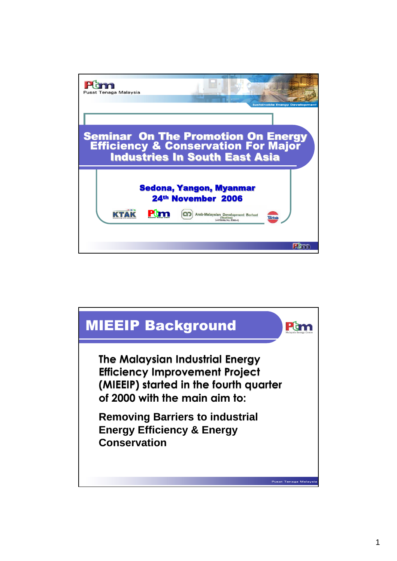

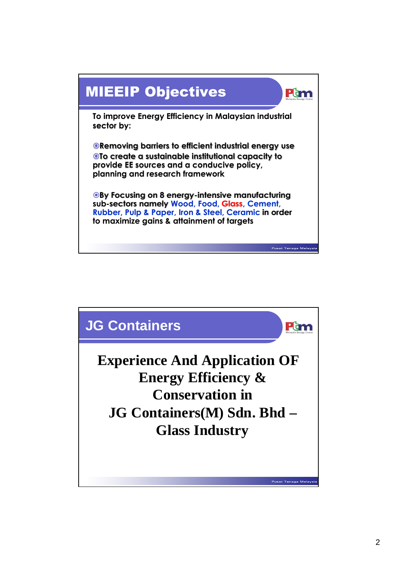

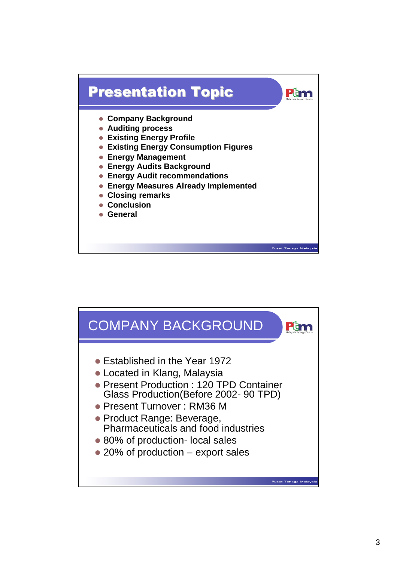

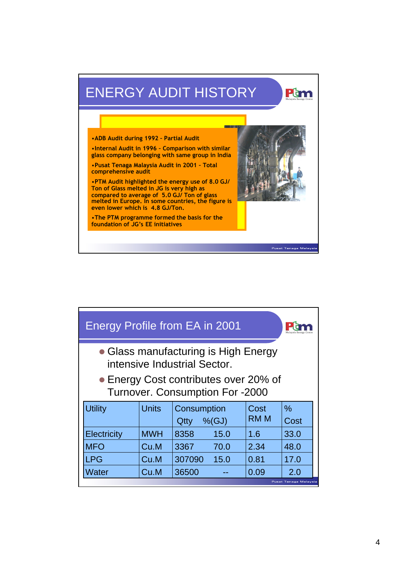## ENERGY AUDIT HISTORY Pum m. •**ADB Audit during 1992 – Partial Audit** •**Internal Audit in 1996 – Comparison with** •**Internal Audit in 1996 - Comparison with similar in India glass company belonging with same group in India** •**Pusat Tenaga Malaysia Audit in 2001 – Total** •**Pusat Tenaga Malaysia Audit in 2001 – Total comprehensive audit comprehensive audit** •**PTM Audit highlighted the energy use of 8.0 GJ/** •**PTM Audit highlighted the energy use of 8.0 GJ/ Ton of Glass melted in JG is very high as Ton of Glass melted in JG is very high as compared to average of 5.0 GJ/ Ton of glass compared to average of 5.0 GJ/ Ton of glass melted in Europe. In some countries, the figure is <u>ed in Europe. In some countries, the figure is</u> even lower which is 4.8 GJ/Ton. is even lower which is 4.8 GJ/Ton.** •**The PTM programme formed the basis for the** •**The PTM programme formed the basis for the foundation of JG's EE initiatives foundation of JG's EE initiatives**

**Pusat Tenaga Malay** 

| Energy Profile from EA in 2001                                                  |              |                                   |              |              |  |
|---------------------------------------------------------------------------------|--------------|-----------------------------------|--------------|--------------|--|
| • Glass manufacturing is High Energy<br>intensive Industrial Sector.            |              |                                   |              |              |  |
| • Energy Cost contributes over 20% of<br><b>Turnover. Consumption For -2000</b> |              |                                   |              |              |  |
| <b>Utility</b>                                                                  | <b>Units</b> | Consumption<br>$%$ $(GJ)$<br>Qtty | Cost<br>RM M | $\%$<br>Cost |  |
| Electricity                                                                     | <b>MWH</b>   | 8358<br>15.0                      | 1.6          | 33.0         |  |
| <b>MFO</b>                                                                      | Cu.M         | 70.0<br>3367                      | 2.34         | 48.0         |  |
| <b>LPG</b>                                                                      | Cu.M         | 307090<br>15.0                    | 0.81         | 17.0         |  |
| Water                                                                           | Cu.M         | 36500                             | 0.09         | 2.0          |  |
| Pusat Tenaga Malaysia                                                           |              |                                   |              |              |  |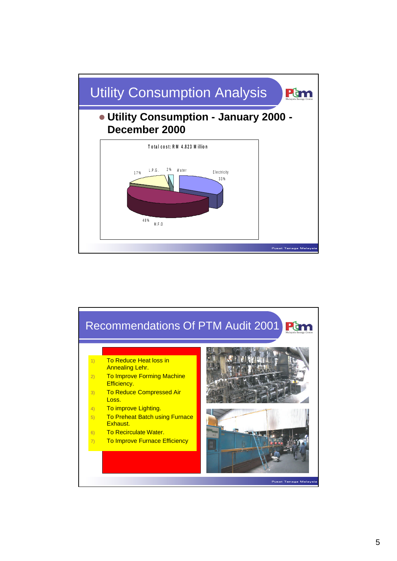

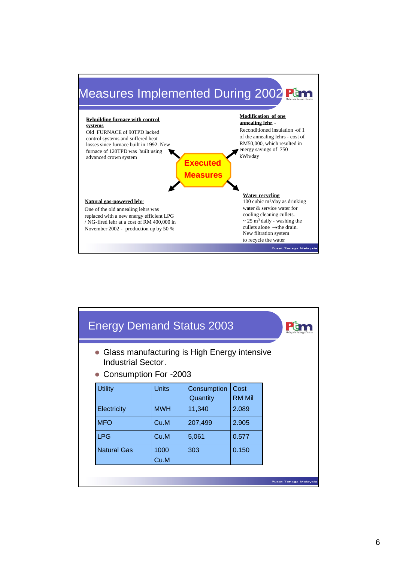

| <b>Energy Demand Status 2003</b>                                                                            |              |                         |                       |                       |
|-------------------------------------------------------------------------------------------------------------|--------------|-------------------------|-----------------------|-----------------------|
| • Glass manufacturing is High Energy intensive<br><b>Industrial Sector.</b><br><b>Consumption For -2003</b> |              |                         |                       |                       |
| <b>Utility</b>                                                                                              | <b>Units</b> | Consumption<br>Quantity | Cost<br><b>RM Mil</b> |                       |
| Electricity                                                                                                 | <b>MWH</b>   | 11,340                  | 2.089                 |                       |
| <b>MFO</b>                                                                                                  | Cu.M         | 207,499                 | 2.905                 |                       |
| <b>LPG</b>                                                                                                  | Cu.M         | 5,061                   | 0.577                 |                       |
| <b>Natural Gas</b>                                                                                          | 1000<br>Cu.M | 303                     | 0.150                 |                       |
|                                                                                                             |              |                         |                       | Pusat Tenaga Malaysia |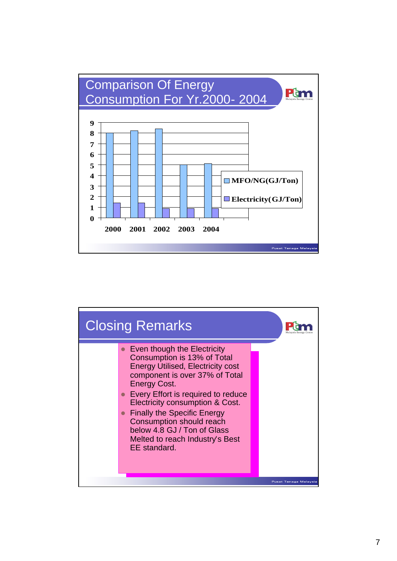

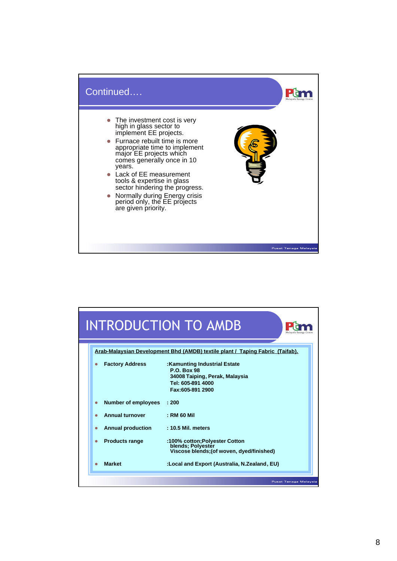

|                            | INTRODUCTION TO AMDB<br>Malaysi                                                                                               |
|----------------------------|-------------------------------------------------------------------------------------------------------------------------------|
|                            | Arab-Malaysian Development Bhd (AMDB) textile plant / Taping Fabric (Taifab).                                                 |
| <b>Factory Address</b>     | :Kamunting Industrial Estate<br><b>P.O. Box 98</b><br>34008 Taiping, Perak, Malaysia<br>Tel: 605-891 4000<br>Fax:605-891 2900 |
| <b>Number of employees</b> | $\pm 200$                                                                                                                     |
| <b>Annual turnover</b>     | : RM 60 Mil                                                                                                                   |
| <b>Annual production</b>   | : 10.5 Mil. meters                                                                                                            |
| <b>Products range</b>      | :100% cotton; Polyester Cotton<br>blends; Polyestér<br>Viscose blends; (of woven, dyed/finished)                              |
| <b>Market</b>              | :Local and Export (Australia, N.Zealand, EU)                                                                                  |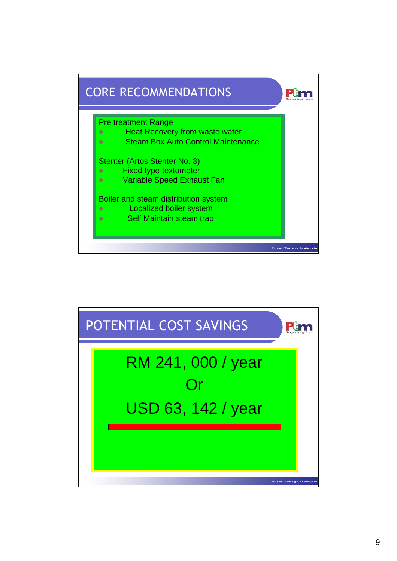

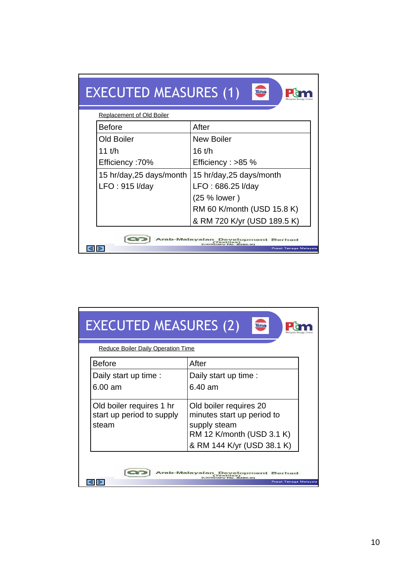| <b>EXECUTED MEASURES (1)</b><br>larfah                                                              |                             |  |  |
|-----------------------------------------------------------------------------------------------------|-----------------------------|--|--|
| <b>Replacement of Old Boiler</b>                                                                    |                             |  |  |
| <b>Before</b>                                                                                       | After                       |  |  |
| <b>Old Boiler</b>                                                                                   | <b>New Boiler</b>           |  |  |
| 11 t/h                                                                                              | $16$ t/h                    |  |  |
| <b>Efficiency: 70%</b>                                                                              | Efficiency : $>85$ %        |  |  |
| 15 hr/day, 25 days/month                                                                            | 15 hr/day, 25 days/month    |  |  |
| LFO: 915 I/day                                                                                      | LFO: 686.25 I/day           |  |  |
|                                                                                                     | (25 % lower)                |  |  |
|                                                                                                     | RM 60 K/month (USD 15.8 K)  |  |  |
|                                                                                                     | & RM 720 K/yr (USD 189.5 K) |  |  |
| Arab-Malaysian Development Berhad<br>$T$ oxtiles)<br>(Company No. 6386-30)<br>Pusat Tenaga Malaysia |                             |  |  |

| <b>EXECUTED MEASURES (2)</b><br>aifal<br><b>Reduce Boiler Daily Operation Time</b>   |                                                                                                                                 |  |  |  |
|--------------------------------------------------------------------------------------|---------------------------------------------------------------------------------------------------------------------------------|--|--|--|
| <b>Before</b><br>Daily start up time :<br>$6.00$ am                                  | After<br>Daily start up time :<br>6.40 am                                                                                       |  |  |  |
| Old boiler requires 1 hr<br>start up period to supply<br>steam                       | Old boiler requires 20<br>minutes start up period to<br>supply steam<br>RM 12 K/month (USD 3.1 K)<br>& RM 144 K/yr (USD 38.1 K) |  |  |  |
| Arab-Malaysian<br>Development<br>Berhad<br>npany No. 6386-K<br>Pusat Tenaga Malaysia |                                                                                                                                 |  |  |  |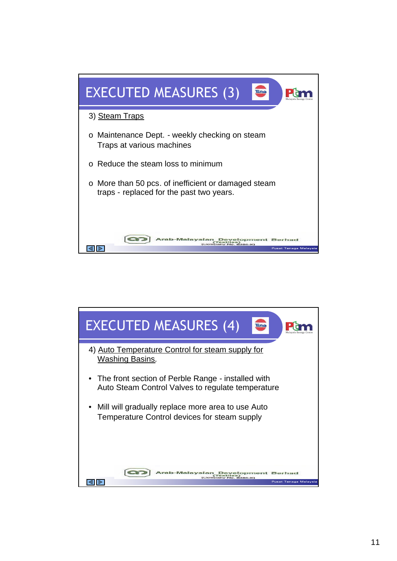

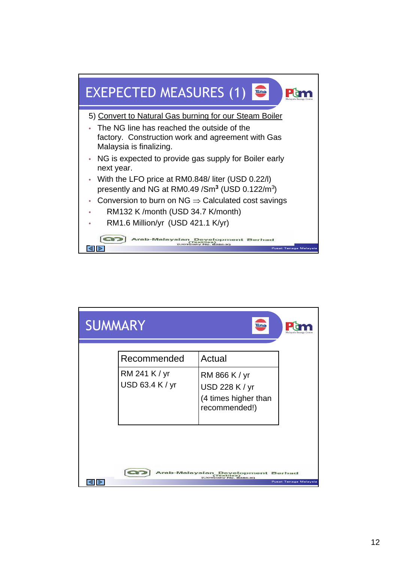

| <b>SUMMARY</b> |                                                 |                                                                                    |                       |
|----------------|-------------------------------------------------|------------------------------------------------------------------------------------|-----------------------|
|                | Recommended<br>RM 241 K / yr<br>USD 63.4 K / yr | Actual<br>RM 866 K / yr<br>USD 228 K / yr<br>(4 times higher than<br>recommended!) |                       |
|                |                                                 | Arab-Malaysian Development Berhad<br>$6386 - 3Q$                                   | Pusat Tenaga Malaysia |